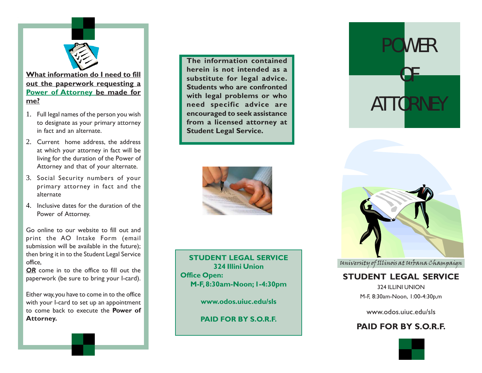

**What information do I need to fill out the paperwork requesting a Power of Attorney be made for me?**

- 1. Full legal names of the person you wish to designate as your primary attorney in fact and an alternate.
- 2. Current home address, the address at which your attorney in fact will be living for the duration of the Power of Attorney and that of your alternate.
- 3. Social Security numbers of your primary attorney in fact and the alternate
- 4. Inclusive dates for the duration of the Power of Attorney.

Go online to our website to fill out and print the AO Intake Form (email submission will be available in the future); then bring it in to the Student Legal Service office,

*OR* come in to the office to fill out the paperwork (be sure to bring your I-card).

Either way, you have to come in to the office with your I-card to set up an appointment to come back to execute the **Power of Attorney.**

**The information contained herein is not intended as a substitute for legal advice. Students who are confronted with legal problems or who need specific advice are encouraged to seek assistance from a licensed attorney at Student Legal Service.**



University of Illinois at Urbana Champaign **STUDENT LEGAL SERVICE 324 Illini Union Office Open: M-F, 8:30am-Noon; 1-4:30pm**

**www.odos.uiuc.edu/sls**

**PAID FOR BY S.O.R.F.**

# POWER OF **ATTORNEY**



## **STUDENT LEGAL SERVICE**

324 ILLINI UNION M-F, 8:30am-Noon, 1:00-4:30p,m

www.odos.uiuc.edu/sls

## **PAID FOR BY S.O.R.F.**